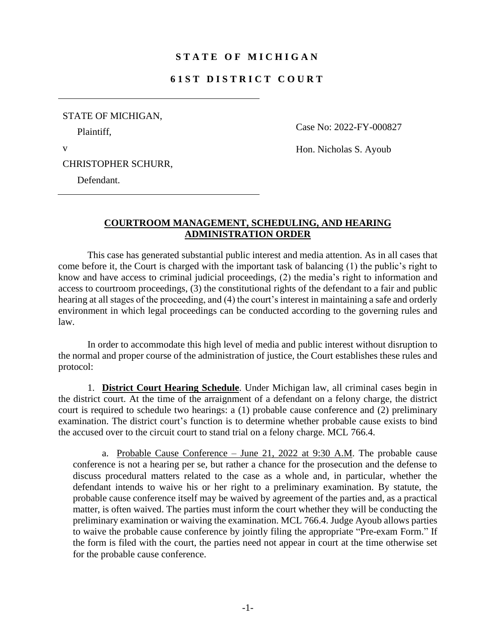## **S T A T E O F M I C H I G A N**

## **6 1 S T D I S T R I C T C O U R T**

| STATE OF MICHIGAN, |
|--------------------|
| Plaintiff,         |

Case No: 2022-FY-000827

Hon. Nicholas S. Ayoub

CHRISTOPHER SCHURR,

Defendant.

v

## **COURTROOM MANAGEMENT, SCHEDULING, AND HEARING ADMINISTRATION ORDER**

This case has generated substantial public interest and media attention. As in all cases that come before it, the Court is charged with the important task of balancing (1) the public's right to know and have access to criminal judicial proceedings, (2) the media's right to information and access to courtroom proceedings, (3) the constitutional rights of the defendant to a fair and public hearing at all stages of the proceeding, and (4) the court's interest in maintaining a safe and orderly environment in which legal proceedings can be conducted according to the governing rules and law.

In order to accommodate this high level of media and public interest without disruption to the normal and proper course of the administration of justice, the Court establishes these rules and protocol:

1. **District Court Hearing Schedule**. Under Michigan law, all criminal cases begin in the district court. At the time of the arraignment of a defendant on a felony charge, the district court is required to schedule two hearings: a (1) probable cause conference and (2) preliminary examination. The district court's function is to determine whether probable cause exists to bind the accused over to the circuit court to stand trial on a felony charge. MCL 766.4.

a. Probable Cause Conference – June 21, 2022 at 9:30 A.M. The probable cause conference is not a hearing per se, but rather a chance for the prosecution and the defense to discuss procedural matters related to the case as a whole and, in particular, whether the defendant intends to waive his or her right to a preliminary examination. By statute, the probable cause conference itself may be waived by agreement of the parties and, as a practical matter, is often waived. The parties must inform the court whether they will be conducting the preliminary examination or waiving the examination. MCL 766.4. Judge Ayoub allows parties to waive the probable cause conference by jointly filing the appropriate "Pre-exam Form." If the form is filed with the court, the parties need not appear in court at the time otherwise set for the probable cause conference.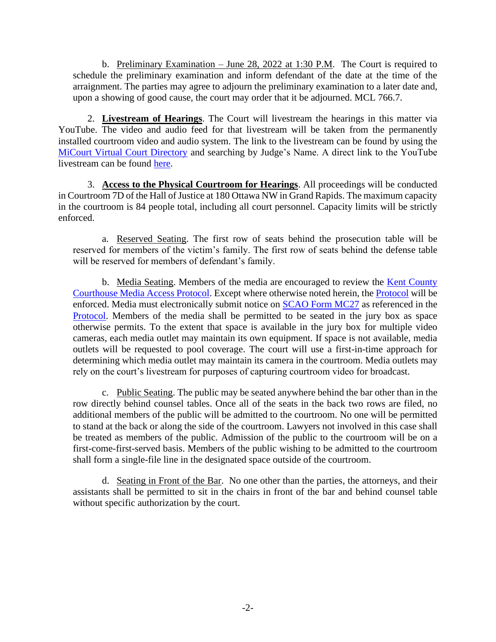b. Preliminary Examination – June 28, 2022 at 1:30 P.M. The Court is required to schedule the preliminary examination and inform defendant of the date at the time of the arraignment. The parties may agree to adjourn the preliminary examination to a later date and, upon a showing of good cause, the court may order that it be adjourned. MCL 766.7.

2. **Livestream of Hearings**. The Court will livestream the hearings in this matter via YouTube. The video and audio feed for that livestream will be taken from the permanently installed courtroom video and audio system. The link to the livestream can be found by using the [MiCourt Virtual Court Directory](https://micourt.courts.michigan.gov/virtualcourtroomdirectory/) and searching by Judge's Name. A direct link to the YouTube livestream can be found [here.](https://www.youtube.com/channel/UCuvdIb2OHmDtvmZNj_VHbFA)

3. **Access to the Physical Courtroom for Hearings**. All proceedings will be conducted in Courtroom 7D of the Hall of Justice at 180 Ottawa NW in Grand Rapids. The maximum capacity in the courtroom is 84 people total, including all court personnel. Capacity limits will be strictly enforced.

a. Reserved Seating. The first row of seats behind the prosecution table will be reserved for members of the victim's family. The first row of seats behind the defense table will be reserved for members of defendant's family.

b. Media Seating. Members of the media are encouraged to review the [Kent County](https://www.grcourt.org/wp-content/uploads/2019/01/Kent-County-CourthouseMedia-Protocol.pdf)  [Courthouse Media Access Protocol.](https://www.grcourt.org/wp-content/uploads/2019/01/Kent-County-CourthouseMedia-Protocol.pdf) Except where otherwise noted herein, the [Protocol](https://www.grcourt.org/wp-content/uploads/2019/01/Kent-County-CourthouseMedia-Protocol.pdf) will be enforced. Media must electronically submit notice on [SCAO Form MC27](https://www.courts.michigan.gov/siteassets/forms/scao-approved/mc27.pdf) as referenced in the [Protocol.](https://www.grcourt.org/wp-content/uploads/2019/01/Kent-County-CourthouseMedia-Protocol.pdf) Members of the media shall be permitted to be seated in the jury box as space otherwise permits. To the extent that space is available in the jury box for multiple video cameras, each media outlet may maintain its own equipment. If space is not available, media outlets will be requested to pool coverage. The court will use a first-in-time approach for determining which media outlet may maintain its camera in the courtroom. Media outlets may rely on the court's livestream for purposes of capturing courtroom video for broadcast.

c. Public Seating. The public may be seated anywhere behind the bar other than in the row directly behind counsel tables. Once all of the seats in the back two rows are filed, no additional members of the public will be admitted to the courtroom. No one will be permitted to stand at the back or along the side of the courtroom. Lawyers not involved in this case shall be treated as members of the public. Admission of the public to the courtroom will be on a first-come-first-served basis. Members of the public wishing to be admitted to the courtroom shall form a single-file line in the designated space outside of the courtroom.

d. Seating in Front of the Bar. No one other than the parties, the attorneys, and their assistants shall be permitted to sit in the chairs in front of the bar and behind counsel table without specific authorization by the court.